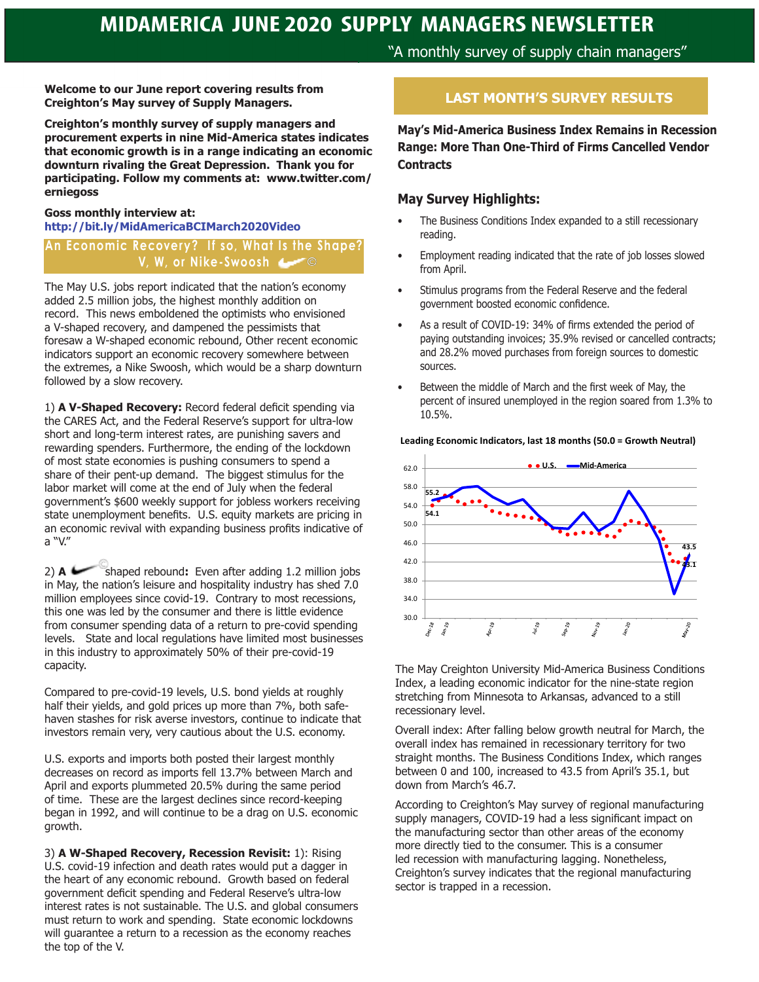"A monthly survey of supply chain managers"

**Welcome to our June report covering results from Creighton's May survey of Supply Managers.** 

**Creighton's monthly survey of supply managers and procurement experts in nine Mid-America states indicates that economic growth is in a range indicating an economic downturn rivaling the Great Depression. Thank you for participating. Follow my comments at: www.twitter.com/ erniegoss**

#### **Goss monthly interview at: http://bit.ly/MidAmericaBCIMarch2020Video**

#### An Economic Recovery? If so, What Is the Shape? **V, W, or Nike-Swoosh**

The May U.S. jobs report indicated that the nation's economy added 2.5 million jobs, the highest monthly addition on record. This news emboldened the optimists who envisioned a V-shaped recovery, and dampened the pessimists that foresaw a W-shaped economic rebound, Other recent economic indicators support an economic recovery somewhere between the extremes, a Nike Swoosh, which would be a sharp downturn followed by a slow recovery.

1) **A V-Shaped Recovery:** Record federal deficit spending via the CARES Act, and the Federal Reserve's support for ultra-low short and long-term interest rates, are punishing savers and rewarding spenders. Furthermore, the ending of the lockdown of most state economies is pushing consumers to spend a share of their pent-up demand. The biggest stimulus for the labor market will come at the end of July when the federal government's \$600 weekly support for jobless workers receiving state unemployment benefits. U.S. equity markets are pricing in an economic revival with expanding business profits indicative of a "V."

2) **A** shaped rebound: Even after adding 1.2 million jobs in May, the nation's leisure and hospitality industry has shed 7.0 million employees since covid-19. Contrary to most recessions, this one was led by the consumer and there is little evidence from consumer spending data of a return to pre-covid spending levels. State and local regulations have limited most businesses in this industry to approximately 50% of their pre-covid-19 capacity.

Compared to pre-covid-19 levels, U.S. bond yields at roughly half their yields, and gold prices up more than 7%, both safehaven stashes for risk averse investors, continue to indicate that investors remain very, very cautious about the U.S. economy.

U.S. exports and imports both posted their largest monthly decreases on record as imports fell 13.7% between March and April and exports plummeted 20.5% during the same period of time. These are the largest declines since record-keeping began in 1992, and will continue to be a drag on U.S. economic growth.

3) **A W-Shaped Recovery, Recession Revisit:** 1): Rising U.S. covid-19 infection and death rates would put a dagger in the heart of any economic rebound. Growth based on federal government deficit spending and Federal Reserve's ultra-low interest rates is not sustainable. The U.S. and global consumers must return to work and spending. State economic lockdowns will guarantee a return to a recession as the economy reaches the top of the V.

## **LAST MONTH'S SURVEY RESULTS**

**May's Mid-America Business Index Remains in Recession Range: More Than One-Third of Firms Cancelled Vendor Contracts** 

#### **May Survey Highlights:**

- The Business Conditions Index expanded to a still recessionary reading.
- Employment reading indicated that the rate of job losses slowed from April.
- Stimulus programs from the Federal Reserve and the federal government boosted economic confidence.
- As a result of COVID-19: 34% of firms extended the period of paying outstanding invoices; 35.9% revised or cancelled contracts; and 28.2% moved purchases from foreign sources to domestic sources.
- Between the middle of March and the first week of May, the percent of insured unemployed in the region soared from 1.3% to 10.5%.

**Leading Economic Indicators, last 18 months (50.0 = Growth Neutral)**



The May Creighton University Mid-America Business Conditions Index, a leading economic indicator for the nine-state region stretching from Minnesota to Arkansas, advanced to a still recessionary level.

Overall index: After falling below growth neutral for March, the overall index has remained in recessionary territory for two straight months. The Business Conditions Index, which ranges between 0 and 100, increased to 43.5 from April's 35.1, but down from March's 46.7.

According to Creighton's May survey of regional manufacturing supply managers, COVID-19 had a less significant impact on the manufacturing sector than other areas of the economy more directly tied to the consumer. This is a consumer led recession with manufacturing lagging. Nonetheless, Creighton's survey indicates that the regional manufacturing sector is trapped in a recession.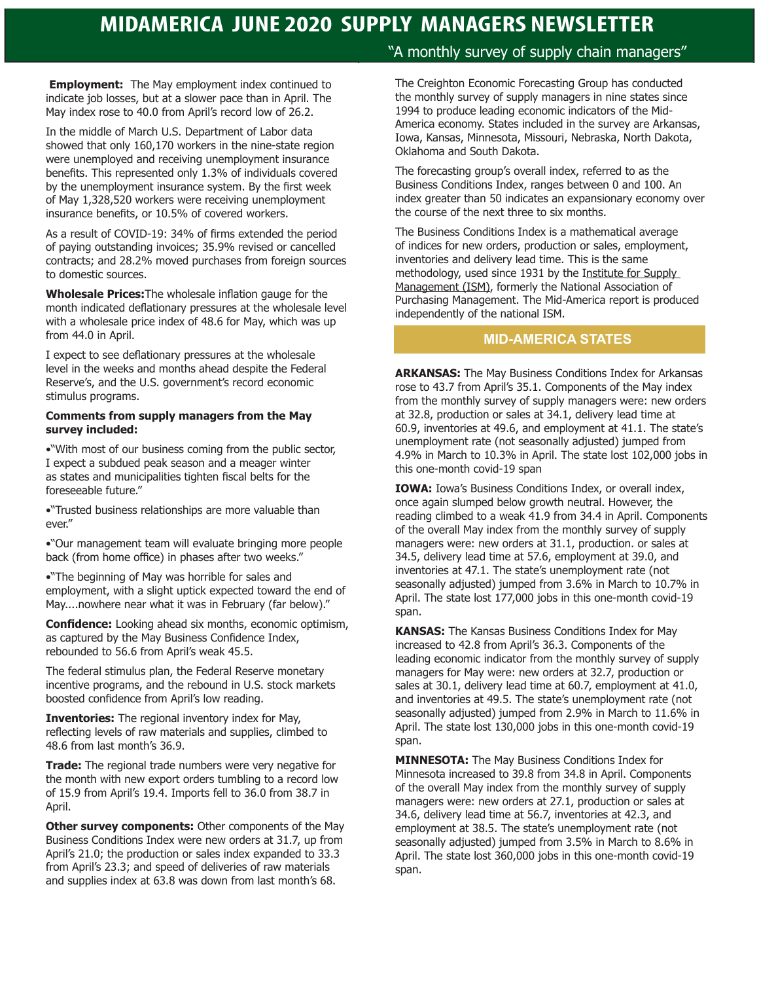# **MIDAMERICA JUNE 2020 SUPPLY MANAGERS NEWSLETTER**

**Employment:** The May employment index continued to indicate job losses, but at a slower pace than in April. The May index rose to 40.0 from April's record low of 26.2.

In the middle of March U.S. Department of Labor data showed that only 160,170 workers in the nine-state region were unemployed and receiving unemployment insurance benefits. This represented only 1.3% of individuals covered by the unemployment insurance system. By the first week of May 1,328,520 workers were receiving unemployment insurance benefits, or 10.5% of covered workers.

As a result of COVID-19: 34% of firms extended the period of paying outstanding invoices; 35.9% revised or cancelled contracts; and 28.2% moved purchases from foreign sources to domestic sources.

**Wholesale Prices:**The wholesale inflation gauge for the month indicated deflationary pressures at the wholesale level with a wholesale price index of 48.6 for May, which was up from 44.0 in April.

I expect to see deflationary pressures at the wholesale level in the weeks and months ahead despite the Federal Reserve's, and the U.S. government's record economic stimulus programs.

#### **Comments from supply managers from the May survey included:**

•"With most of our business coming from the public sector, I expect a subdued peak season and a meager winter as states and municipalities tighten fiscal belts for the foreseeable future."

•"Trusted business relationships are more valuable than ever."

•"Our management team will evaluate bringing more people back (from home office) in phases after two weeks."

•"The beginning of May was horrible for sales and employment, with a slight uptick expected toward the end of May....nowhere near what it was in February (far below)."

**Confidence:** Looking ahead six months, economic optimism, as captured by the May Business Confidence Index, rebounded to 56.6 from April's weak 45.5.

The federal stimulus plan, the Federal Reserve monetary incentive programs, and the rebound in U.S. stock markets boosted confidence from April's low reading.

**Inventories:** The regional inventory index for May, reflecting levels of raw materials and supplies, climbed to 48.6 from last month's 36.9.

**Trade:** The regional trade numbers were very negative for the month with new export orders tumbling to a record low of 15.9 from April's 19.4. Imports fell to 36.0 from 38.7 in April.

**Other survey components:** Other components of the May Business Conditions Index were new orders at 31.7, up from April's 21.0; the production or sales index expanded to 33.3 from April's 23.3; and speed of deliveries of raw materials and supplies index at 63.8 was down from last month's 68.

## "A monthly survey of supply chain managers"

The Creighton Economic Forecasting Group has conducted the monthly survey of supply managers in nine states since 1994 to produce leading economic indicators of the Mid-America economy. States included in the survey are Arkansas, Iowa, Kansas, Minnesota, Missouri, Nebraska, North Dakota, Oklahoma and South Dakota.

The forecasting group's overall index, referred to as the Business Conditions Index, ranges between 0 and 100. An index greater than 50 indicates an expansionary economy over the course of the next three to six months.

The Business Conditions Index is a mathematical average of indices for new orders, production or sales, employment, inventories and delivery lead time. This is the same methodology, used since 1931 by the Institute for Supply Management (ISM), formerly the National Association of Purchasing Management. The Mid-America report is produced independently of the national ISM.

#### **MID-AMERICA STATES**

**ARKANSAS:** The May Business Conditions Index for Arkansas rose to 43.7 from April's 35.1. Components of the May index from the monthly survey of supply managers were: new orders at 32.8, production or sales at 34.1, delivery lead time at 60.9, inventories at 49.6, and employment at 41.1. The state's unemployment rate (not seasonally adjusted) jumped from 4.9% in March to 10.3% in April. The state lost 102,000 jobs in this one-month covid-19 span

**IOWA:** Iowa's Business Conditions Index, or overall index, once again slumped below growth neutral. However, the reading climbed to a weak 41.9 from 34.4 in April. Components of the overall May index from the monthly survey of supply managers were: new orders at 31.1, production. or sales at 34.5, delivery lead time at 57.6, employment at 39.0, and inventories at 47.1. The state's unemployment rate (not seasonally adjusted) jumped from 3.6% in March to 10.7% in April. The state lost 177,000 jobs in this one-month covid-19 span.

**KANSAS:** The Kansas Business Conditions Index for May increased to 42.8 from April's 36.3. Components of the leading economic indicator from the monthly survey of supply managers for May were: new orders at 32.7, production or sales at 30.1, delivery lead time at 60.7, employment at 41.0, and inventories at 49.5. The state's unemployment rate (not seasonally adjusted) jumped from 2.9% in March to 11.6% in April. The state lost 130,000 jobs in this one-month covid-19 span.

**MINNESOTA:** The May Business Conditions Index for Minnesota increased to 39.8 from 34.8 in April. Components of the overall May index from the monthly survey of supply managers were: new orders at 27.1, production or sales at 34.6, delivery lead time at 56.7, inventories at 42.3, and employment at 38.5. The state's unemployment rate (not seasonally adjusted) jumped from 3.5% in March to 8.6% in April. The state lost 360,000 jobs in this one-month covid-19 span.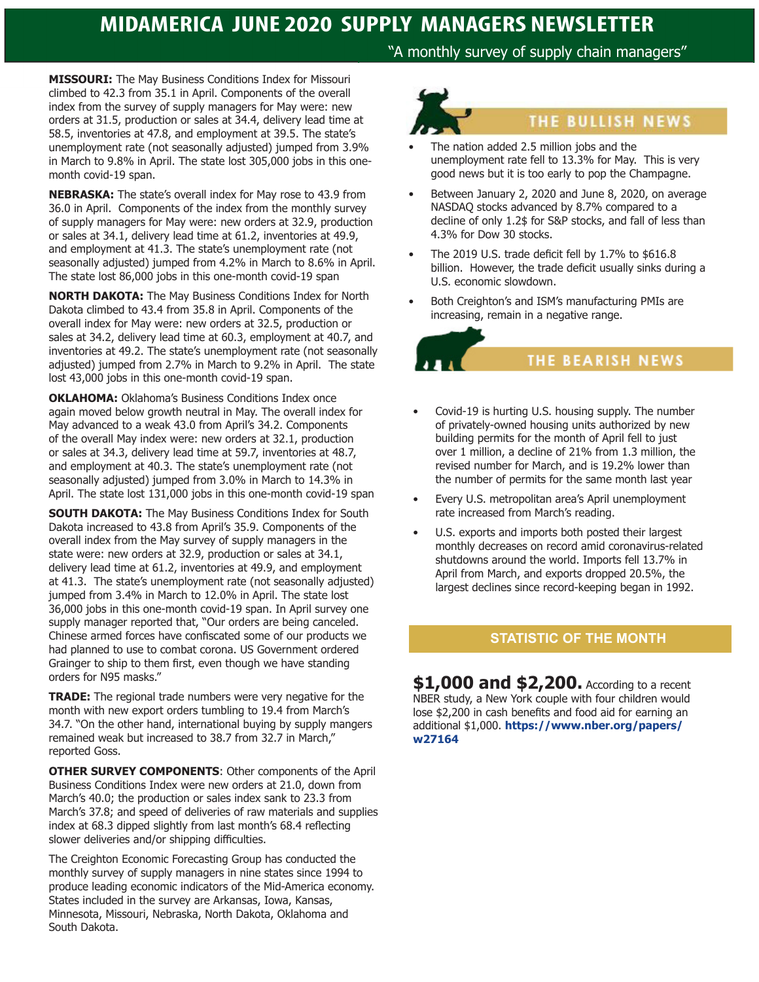# **MIDAMERICA JUNE 2020 SUPPLY MANAGERS NEWSLETTER**

"A monthly survey of supply chain managers"

**MISSOURI:** The May Business Conditions Index for Missouri climbed to 42.3 from 35.1 in April. Components of the overall index from the survey of supply managers for May were: new orders at 31.5, production or sales at 34.4, delivery lead time at 58.5, inventories at 47.8, and employment at 39.5. The state's unemployment rate (not seasonally adjusted) jumped from 3.9% in March to 9.8% in April. The state lost 305,000 jobs in this onemonth covid-19 span.

**NEBRASKA:** The state's overall index for May rose to 43.9 from 36.0 in April. Components of the index from the monthly survey of supply managers for May were: new orders at 32.9, production or sales at 34.1, delivery lead time at 61.2, inventories at 49.9, and employment at 41.3. The state's unemployment rate (not seasonally adjusted) jumped from 4.2% in March to 8.6% in April. The state lost 86,000 jobs in this one-month covid-19 span

**NORTH DAKOTA:** The May Business Conditions Index for North Dakota climbed to 43.4 from 35.8 in April. Components of the overall index for May were: new orders at 32.5, production or sales at 34.2, delivery lead time at 60.3, employment at 40.7, and inventories at 49.2. The state's unemployment rate (not seasonally adjusted) jumped from 2.7% in March to 9.2% in April. The state lost 43,000 jobs in this one-month covid-19 span.

**OKLAHOMA:** Oklahoma's Business Conditions Index once again moved below growth neutral in May. The overall index for May advanced to a weak 43.0 from April's 34.2. Components of the overall May index were: new orders at 32.1, production or sales at 34.3, delivery lead time at 59.7, inventories at 48.7, and employment at 40.3. The state's unemployment rate (not seasonally adjusted) jumped from 3.0% in March to 14.3% in April. The state lost 131,000 jobs in this one-month covid-19 span

**SOUTH DAKOTA:** The May Business Conditions Index for South Dakota increased to 43.8 from April's 35.9. Components of the overall index from the May survey of supply managers in the state were: new orders at 32.9, production or sales at 34.1, delivery lead time at 61.2, inventories at 49.9, and employment at 41.3. The state's unemployment rate (not seasonally adjusted) jumped from 3.4% in March to 12.0% in April. The state lost 36,000 jobs in this one-month covid-19 span. In April survey one supply manager reported that, "Our orders are being canceled. Chinese armed forces have confiscated some of our products we had planned to use to combat corona. US Government ordered Grainger to ship to them first, even though we have standing orders for N95 masks."

**TRADE:** The regional trade numbers were very negative for the month with new export orders tumbling to 19.4 from March's 34.7. "On the other hand, international buying by supply mangers remained weak but increased to 38.7 from 32.7 in March," reported Goss.

**OTHER SURVEY COMPONENTS**: Other components of the April Business Conditions Index were new orders at 21.0, down from March's 40.0; the production or sales index sank to 23.3 from March's 37.8; and speed of deliveries of raw materials and supplies index at 68.3 dipped slightly from last month's 68.4 reflecting slower deliveries and/or shipping difficulties.

The Creighton Economic Forecasting Group has conducted the monthly survey of supply managers in nine states since 1994 to produce leading economic indicators of the Mid-America economy. States included in the survey are Arkansas, Iowa, Kansas, Minnesota, Missouri, Nebraska, North Dakota, Oklahoma and South Dakota.



- The nation added 2.5 million jobs and the unemployment rate fell to 13.3% for May. This is very good news but it is too early to pop the Champagne.
- Between January 2, 2020 and June 8, 2020, on average NASDAQ stocks advanced by 8.7% compared to a decline of only 1.2\$ for S&P stocks, and fall of less than 4.3% for Dow 30 stocks.
- The 2019 U.S. trade deficit fell by 1.7% to \$616.8 billion. However, the trade deficit usually sinks during a U.S. economic slowdown.
- Both Creighton's and ISM's manufacturing PMIs are increasing, remain in a negative range.



- Covid-19 is hurting U.S. housing supply. The number of privately-owned housing units authorized by new building permits for the month of April fell to just over 1 million, a decline of 21% from 1.3 million, the revised number for March, and is 19.2% lower than the number of permits for the same month last year
- Every U.S. metropolitan area's April unemployment rate increased from March's reading.
- U.S. exports and imports both posted their largest monthly decreases on record amid coronavirus-related shutdowns around the world. Imports fell 13.7% in April from March, and exports dropped 20.5%, the largest declines since record-keeping began in 1992.

#### **STATISTIC OF THE MONTH**

**\$1,000 and \$2,200.** According to a recent NBER study, a New York couple with four children would lose \$2,200 in cash benefits and food aid for earning an additional \$1,000. **https://www.nber.org/papers/ w27164**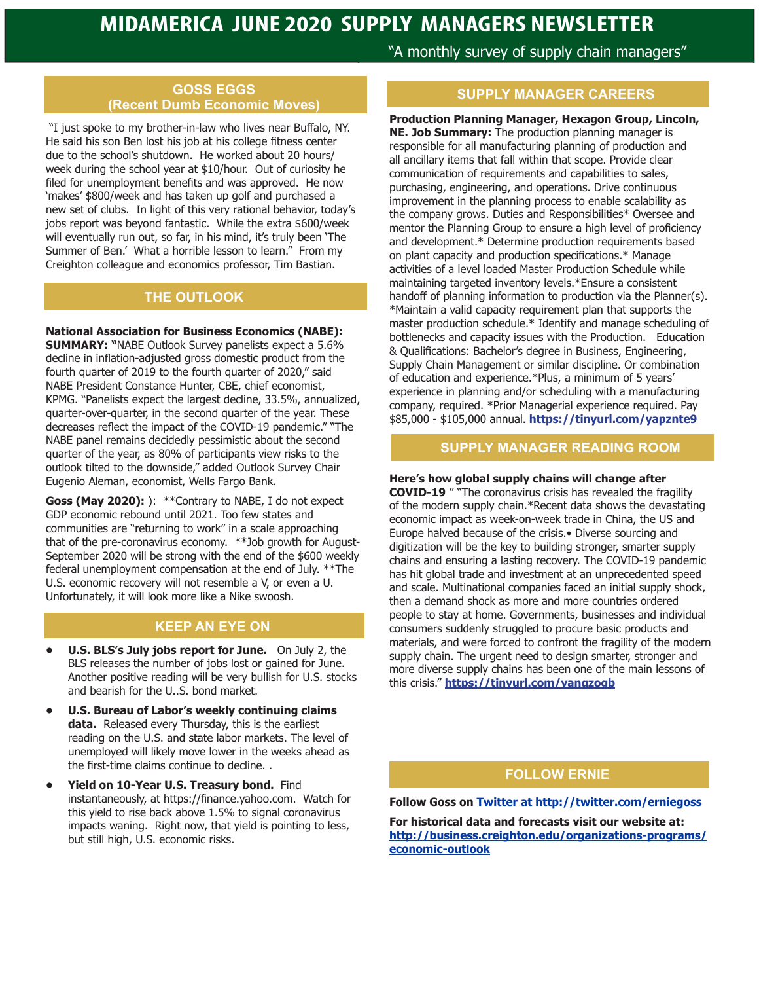#### **GOSS EGGS (Recent Dumb Economic Moves)**

 "I just spoke to my brother-in-law who lives near Buffalo, NY. He said his son Ben lost his job at his college fitness center due to the school's shutdown. He worked about 20 hours/ week during the school year at \$10/hour. Out of curiosity he filed for unemployment benefits and was approved. He now 'makes' \$800/week and has taken up golf and purchased a new set of clubs. In light of this very rational behavior, today's jobs report was beyond fantastic. While the extra \$600/week will eventually run out, so far, in his mind, it's truly been 'The Summer of Ben.' What a horrible lesson to learn." From my Creighton colleague and economics professor, Tim Bastian.

## **THE OUTLOOK**

#### **National Association for Business Economics (NABE):**

**SUMMARY: "**NABE Outlook Survey panelists expect a 5.6% decline in inflation-adjusted gross domestic product from the fourth quarter of 2019 to the fourth quarter of 2020," said NABE President Constance Hunter, CBE, chief economist, KPMG. "Panelists expect the largest decline, 33.5%, annualized, quarter-over-quarter, in the second quarter of the year. These decreases reflect the impact of the COVID-19 pandemic." "The NABE panel remains decidedly pessimistic about the second quarter of the year, as 80% of participants view risks to the outlook tilted to the downside," added Outlook Survey Chair Eugenio Aleman, economist, Wells Fargo Bank.

**Goss (May 2020):** ): \*\*Contrary to NABE, I do not expect GDP economic rebound until 2021. Too few states and communities are "returning to work" in a scale approaching that of the pre-coronavirus economy. \*\*Job growth for August-September 2020 will be strong with the end of the \$600 weekly federal unemployment compensation at the end of July. \*\*The U.S. economic recovery will not resemble a V, or even a U. Unfortunately, it will look more like a Nike swoosh.

#### **KEEP AN EYE ON**

- **• U.S. BLS's July jobs report for June.** On July 2, the BLS releases the number of jobs lost or gained for June. Another positive reading will be very bullish for U.S. stocks and bearish for the U..S. bond market.
- **• U.S. Bureau of Labor's weekly continuing claims data.** Released every Thursday, this is the earliest reading on the U.S. and state labor markets. The level of unemployed will likely move lower in the weeks ahead as the first-time claims continue to decline. .
- **• Yield on 10-Year U.S. Treasury bond.** Find instantaneously, at https://finance.yahoo.com. Watch for this yield to rise back above 1.5% to signal coronavirus impacts waning. Right now, that yield is pointing to less, but still high, U.S. economic risks.

"A monthly survey of supply chain managers"

# **SUPPLY MANAGER CAREERS**

**Production Planning Manager, Hexagon Group, Lincoln, NE. Job Summary:** The production planning manager is responsible for all manufacturing planning of production and all ancillary items that fall within that scope. Provide clear communication of requirements and capabilities to sales, purchasing, engineering, and operations. Drive continuous improvement in the planning process to enable scalability as the company grows. Duties and Responsibilities\* Oversee and mentor the Planning Group to ensure a high level of proficiency and development.\* Determine production requirements based on plant capacity and production specifications.\* Manage activities of a level loaded Master Production Schedule while maintaining targeted inventory levels.\*Ensure a consistent handoff of planning information to production via the Planner(s). \*Maintain a valid capacity requirement plan that supports the master production schedule.\* Identify and manage scheduling of bottlenecks and capacity issues with the Production. Education & Qualifications: Bachelor's degree in Business, Engineering, Supply Chain Management or similar discipline. Or combination of education and experience.\*Plus, a minimum of 5 years' experience in planning and/or scheduling with a manufacturing company, required. \*Prior Managerial experience required. Pay \$85,000 - \$105,000 annual. **https://tinyurl.com/yapznte9**

## **SUPPLY MANAGER READING ROOM**

## **Here's how global supply chains will change after**

**COVID-19** " "The coronavirus crisis has revealed the fragility of the modern supply chain.\*Recent data shows the devastating economic impact as week-on-week trade in China, the US and Europe halved because of the crisis.• Diverse sourcing and digitization will be the key to building stronger, smarter supply chains and ensuring a lasting recovery. The COVID-19 pandemic has hit global trade and investment at an unprecedented speed and scale. Multinational companies faced an initial supply shock, then a demand shock as more and more countries ordered people to stay at home. Governments, businesses and individual consumers suddenly struggled to procure basic products and materials, and were forced to confront the fragility of the modern supply chain. The urgent need to design smarter, stronger and more diverse supply chains has been one of the main lessons of this crisis." **https://tinyurl.com/yanqzogb**

## **FOLLOW ERNIE**

#### **Follow Goss on Twitter at http://twitter.com/erniegoss**

**For historical data and forecasts visit our website at: http://business.creighton.edu/organizations-programs/ economic-outlook**